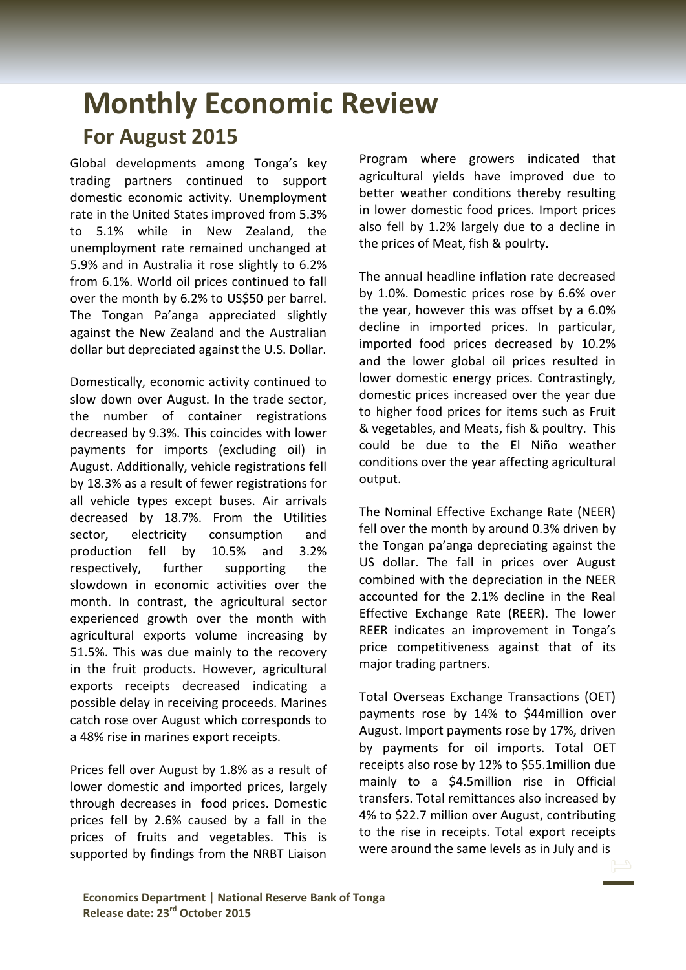## **Monthly Economic Review For August 2015**

Global developments among Tonga's key trading partners continued to support domestic economic activity. Unemployment rate in the United States improved from 5.3% to 5.1% while in New Zealand, the unemployment rate remained unchanged at 5.9% and in Australia it rose slightly to 6.2% from 6.1%. World oil prices continued to fall over the month by 6.2% to US\$50 per barrel. The Tongan Pa'anga appreciated slightly against the New Zealand and the Australian dollar but depreciated against the U.S. Dollar.

Domestically, economic activity continued to slow down over August. In the trade sector, the number of container registrations decreased by 9.3%. This coincides with lower payments for imports (excluding oil) in August. Additionally, vehicle registrations fell by 18.3% as a result of fewer registrations for all vehicle types except buses. Air arrivals decreased by 18.7%. From the Utilities sector, electricity consumption and production fell by 10.5% and 3.2% respectively, further supporting the slowdown in economic activities over the month. In contrast, the agricultural sector experienced growth over the month with agricultural exports volume increasing by 51.5%. This was due mainly to the recovery in the fruit products. However, agricultural exports receipts decreased indicating a possible delay in receiving proceeds. Marines catch rose over August which corresponds to a 48% rise in marines export receipts.

Prices fell over August by 1.8% as a result of lower domestic and imported prices, largely through decreases in food prices. Domestic prices fell by 2.6% caused by a fall in the prices of fruits and vegetables. This is supported by findings from the NRBT Liaison Program where growers indicated that agricultural yields have improved due to better weather conditions thereby resulting in lower domestic food prices. Import prices also fell by 1.2% largely due to a decline in the prices of Meat, fish & poulrty.

The annual headline inflation rate decreased by 1.0%. Domestic prices rose by 6.6% over the year, however this was offset by a 6.0% decline in imported prices. In particular, imported food prices decreased by 10.2% and the lower global oil prices resulted in lower domestic energy prices. Contrastingly, domestic prices increased over the year due to higher food prices for items such as Fruit & vegetables, and Meats, fish & poultry. This could be due to the El Niño weather conditions over the year affecting agricultural output.

The Nominal Effective Exchange Rate (NEER) fell over the month by around 0.3% driven by the Tongan pa'anga depreciating against the US dollar. The fall in prices over August combined with the depreciation in the NEER accounted for the 2.1% decline in the Real Effective Exchange Rate (REER). The lower REER indicates an improvement in Tonga's price competitiveness against that of its major trading partners.

Total Overseas Exchange Transactions (OET) payments rose by 14% to \$44million over August. Import payments rose by 17%, driven by payments for oil imports. Total OET receipts also rose by 12% to \$55.1million due mainly to a \$4.5million rise in Official transfers. Total remittances also increased by 4% to \$22.7 million over August, contributing to the rise in receipts. Total export receipts were around the same levels as in July and is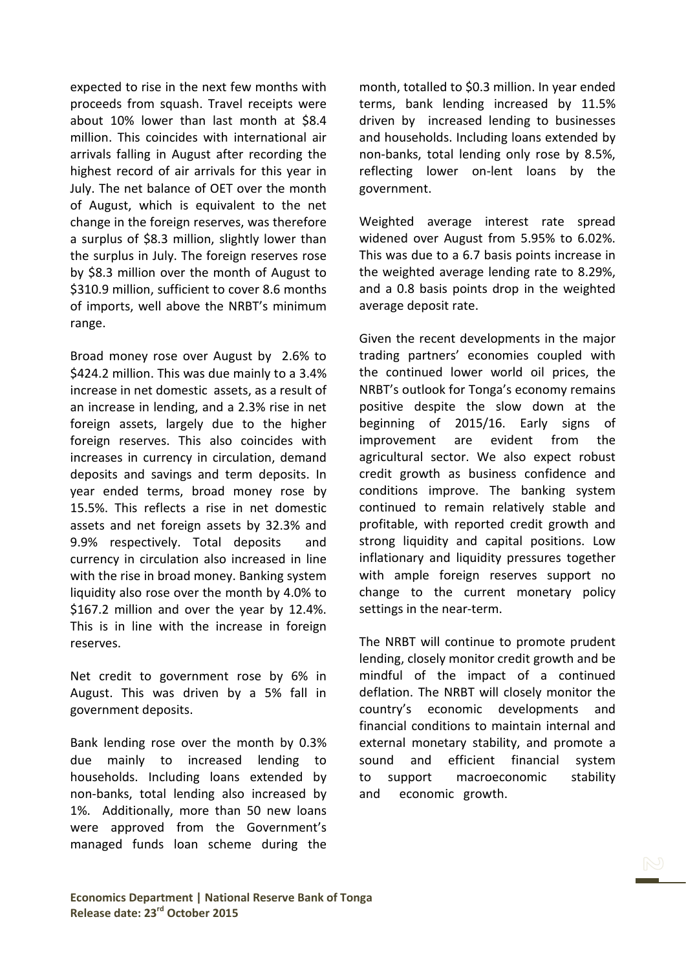expected to rise in the next few months with proceeds from squash. Travel receipts were about 10% lower than last month at \$8.4 million. This coincides with international air arrivals falling in August after recording the highest record of air arrivals for this year in July. The net balance of OET over the month of August, which is equivalent to the net change in the foreign reserves, was therefore a surplus of \$8.3 million, slightly lower than the surplus in July. The foreign reserves rose by \$8.3 million over the month of August to \$310.9 million, sufficient to cover 8.6 months of imports, well above the NRBT's minimum range.

Broad money rose over August by 2.6% to \$424.2 million. This was due mainly to a 3.4% increase in net domestic assets, as a result of an increase in lending, and a 2.3% rise in net foreign assets, largely due to the higher foreign reserves. This also coincides with increases in currency in circulation, demand deposits and savings and term deposits. In year ended terms, broad money rose by 15.5%. This reflects a rise in net domestic assets and net foreign assets by 32.3% and 9.9% respectively. Total deposits and currency in circulation also increased in line with the rise in broad money. Banking system liquidity also rose over the month by 4.0% to \$167.2 million and over the year by 12.4%. This is in line with the increase in foreign reserves.

Net credit to government rose by 6% in August. This was driven by a 5% fall in government deposits.

Bank lending rose over the month by 0.3% due mainly to increased lending to households. Including loans extended by non-banks, total lending also increased by 1%. Additionally, more than 50 new loans were approved from the Government's managed funds loan scheme during the

month, totalled to \$0.3 million. In year ended terms, bank lending increased by 11.5% driven by increased lending to businesses and households. Including loans extended by non-banks, total lending only rose by 8.5%, reflecting lower on-lent loans by the government.

Weighted average interest rate spread widened over August from 5.95% to 6.02%. This was due to a 6.7 basis points increase in the weighted average lending rate to 8.29%, and a 0.8 basis points drop in the weighted average deposit rate.

Given the recent developments in the major trading partners' economies coupled with the continued lower world oil prices, the NRBT's outlook for Tonga's economy remains positive despite the slow down at the beginning of 2015/16. Early signs of improvement are evident from the agricultural sector. We also expect robust credit growth as business confidence and conditions improve. The banking system continued to remain relatively stable and profitable, with reported credit growth and strong liquidity and capital positions. Low inflationary and liquidity pressures together with ample foreign reserves support no change to the current monetary policy settings in the near-term.

The NRBT will continue to promote prudent lending, closely monitor credit growth and be mindful of the impact of a continued deflation. The NRBT will closely monitor the country's economic developments and financial conditions to maintain internal and external monetary stability, and promote a sound and efficient financial system to support macroeconomic stability and economic growth.